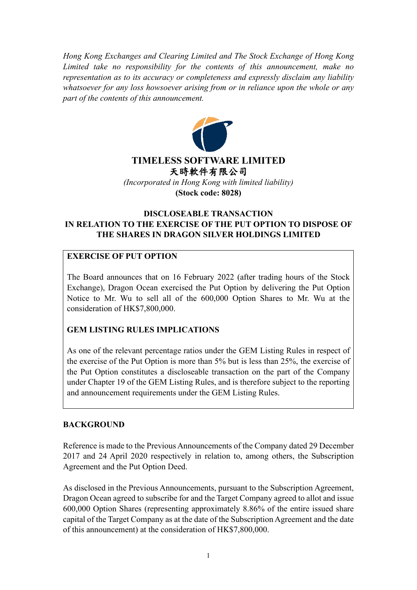*Hong Kong Exchanges and Clearing Limited and The Stock Exchange of Hong Kong Limited take no responsibility for the contents of this announcement, make no representation as to its accuracy or completeness and expressly disclaim any liability whatsoever for any loss howsoever arising from or in reliance upon the whole or any part of the contents of this announcement.*



# **DISCLOSEABLE TRANSACTION IN RELATION TO THE EXERCISE OF THE PUT OPTION TO DISPOSE OF THE SHARES IN DRAGON SILVER HOLDINGS LIMITED**

# **EXERCISE OF PUT OPTION**

The Board announces that on 16 February 2022 (after trading hours of the Stock Exchange), Dragon Ocean exercised the Put Option by delivering the Put Option Notice to Mr. Wu to sell all of the 600,000 Option Shares to Mr. Wu at the consideration of HK\$7,800,000.

# **GEM LISTING RULES IMPLICATIONS**

As one of the relevant percentage ratios under the GEM Listing Rules in respect of the exercise of the Put Option is more than 5% but is less than 25%, the exercise of the Put Option constitutes a discloseable transaction on the part of the Company under Chapter 19 of the GEM Listing Rules, and is therefore subject to the reporting and announcement requirements under the GEM Listing Rules.

# **BACKGROUND**

Reference is made to the Previous Announcements of the Company dated 29 December 2017 and 24 April 2020 respectively in relation to, among others, the Subscription Agreement and the Put Option Deed.

As disclosed in the Previous Announcements, pursuant to the Subscription Agreement, Dragon Ocean agreed to subscribe for and the Target Company agreed to allot and issue 600,000 Option Shares (representing approximately 8.86% of the entire issued share capital of the Target Company as at the date of the Subscription Agreement and the date of this announcement) at the consideration of HK\$7,800,000.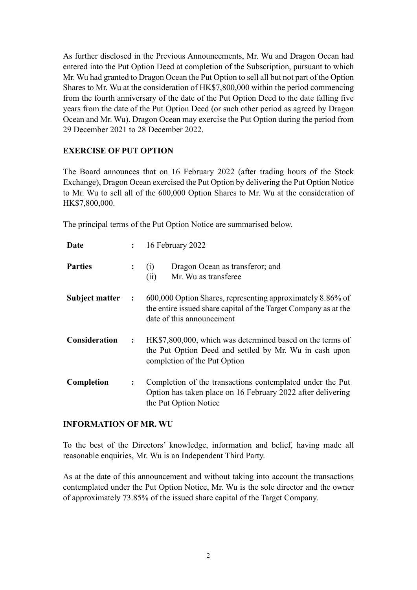As further disclosed in the Previous Announcements, Mr. Wu and Dragon Ocean had entered into the Put Option Deed at completion of the Subscription, pursuant to which Mr. Wu had granted to Dragon Ocean the Put Option to sell all but not part of the Option Shares to Mr. Wu at the consideration of HK\$7,800,000 within the period commencing from the fourth anniversary of the date of the Put Option Deed to the date falling five years from the date of the Put Option Deed (or such other period as agreed by Dragon Ocean and Mr. Wu). Dragon Ocean may exercise the Put Option during the period from 29 December 2021 to 28 December 2022.

# **EXERCISE OF PUT OPTION**

The Board announces that on 16 February 2022 (after trading hours of the Stock Exchange), Dragon Ocean exercised the Put Option by delivering the Put Option Notice to Mr. Wu to sell all of the 600,000 Option Shares to Mr. Wu at the consideration of HK\$7,800,000.

The principal terms of the Put Option Notice are summarised below.

| Date           | $\ddot{\cdot}$ | 16 February 2022                                                                                                                                           |
|----------------|----------------|------------------------------------------------------------------------------------------------------------------------------------------------------------|
| <b>Parties</b> | $\ddot{\cdot}$ | Dragon Ocean as transferor; and<br>(i)<br>(ii)<br>Mr. Wu as transferee                                                                                     |
| Subject matter | $\ddot{\cdot}$ | 600,000 Option Shares, representing approximately 8.86% of<br>the entire issued share capital of the Target Company as at the<br>date of this announcement |
| Consideration  | $\ddot{\cdot}$ | HK\$7,800,000, which was determined based on the terms of<br>the Put Option Deed and settled by Mr. Wu in cash upon<br>completion of the Put Option        |
| Completion     | $\ddot{\cdot}$ | Completion of the transactions contemplated under the Put<br>Option has taken place on 16 February 2022 after delivering<br>the Put Option Notice          |

#### **INFORMATION OF MR. WU**

To the best of the Directors' knowledge, information and belief, having made all reasonable enquiries, Mr. Wu is an Independent Third Party.

As at the date of this announcement and without taking into account the transactions contemplated under the Put Option Notice, Mr. Wu is the sole director and the owner of approximately 73.85% of the issued share capital of the Target Company.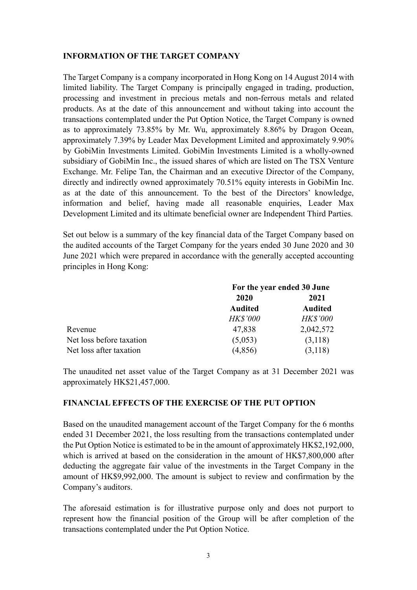### **INFORMATION OF THE TARGET COMPANY**

The Target Company is a company incorporated in Hong Kong on 14 August 2014 with limited liability. The Target Company is principally engaged in trading, production, processing and investment in precious metals and non-ferrous metals and related products. As at the date of this announcement and without taking into account the transactions contemplated under the Put Option Notice, the Target Company is owned as to approximately 73.85% by Mr. Wu, approximately 8.86% by Dragon Ocean, approximately 7.39% by Leader Max Development Limited and approximately 9.90% by GobiMin Investments Limited. GobiMin Investments Limited is a wholly-owned subsidiary of GobiMin Inc., the issued shares of which are listed on The TSX Venture Exchange. Mr. Felipe Tan, the Chairman and an executive Director of the Company, directly and indirectly owned approximately 70.51% equity interests in GobiMin Inc. as at the date of this announcement. To the best of the Directors' knowledge, information and belief, having made all reasonable enquiries, Leader Max Development Limited and its ultimate beneficial owner are Independent Third Parties.

Set out below is a summary of the key financial data of the Target Company based on the audited accounts of the Target Company for the years ended 30 June 2020 and 30 June 2021 which were prepared in accordance with the generally accepted accounting principles in Hong Kong:

|                          | For the year ended 30 June |                 |  |
|--------------------------|----------------------------|-----------------|--|
|                          | 2020                       | 2021            |  |
|                          | <b>Audited</b>             | <b>Audited</b>  |  |
|                          | <b>HK\$'000</b>            | <b>HK\$'000</b> |  |
| Revenue                  | 47,838                     | 2,042,572       |  |
| Net loss before taxation | (5,053)                    | (3,118)         |  |
| Net loss after taxation  | (4,856)                    | (3,118)         |  |

The unaudited net asset value of the Target Company as at 31 December 2021 was approximately HK\$21,457,000.

#### **FINANCIAL EFFECTS OF THE EXERCISE OF THE PUT OPTION**

Based on the unaudited management account of the Target Company for the 6 months ended 31 December 2021, the loss resulting from the transactions contemplated under the Put Option Notice is estimated to be in the amount of approximately HK\$2,192,000, which is arrived at based on the consideration in the amount of HK\$7,800,000 after deducting the aggregate fair value of the investments in the Target Company in the amount of HK\$9,992,000. The amount is subject to review and confirmation by the Company's auditors.

The aforesaid estimation is for illustrative purpose only and does not purport to represent how the financial position of the Group will be after completion of the transactions contemplated under the Put Option Notice.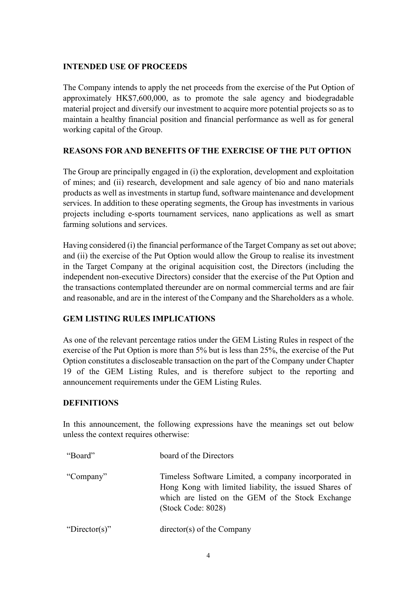### **INTENDED USE OF PROCEEDS**

The Company intends to apply the net proceeds from the exercise of the Put Option of approximately HK\$7,600,000, as to promote the sale agency and biodegradable material project and diversify our investment to acquire more potential projects so as to maintain a healthy financial position and financial performance as well as for general working capital of the Group.

# **REASONS FOR AND BENEFITS OF THE EXERCISE OF THE PUT OPTION**

The Group are principally engaged in (i) the exploration, development and exploitation of mines; and (ii) research, development and sale agency of bio and nano materials products as well as investments in startup fund, software maintenance and development services. In addition to these operating segments, the Group has investments in various projects including e-sports tournament services, nano applications as well as smart farming solutions and services.

Having considered (i) the financial performance of the Target Company as set out above; and (ii) the exercise of the Put Option would allow the Group to realise its investment in the Target Company at the original acquisition cost, the Directors (including the independent non-executive Directors) consider that the exercise of the Put Option and the transactions contemplated thereunder are on normal commercial terms and are fair and reasonable, and are in the interest of the Company and the Shareholders as a whole.

# **GEM LISTING RULES IMPLICATIONS**

As one of the relevant percentage ratios under the GEM Listing Rules in respect of the exercise of the Put Option is more than 5% but is less than 25%, the exercise of the Put Option constitutes a discloseable transaction on the part of the Company under Chapter 19 of the GEM Listing Rules, and is therefore subject to the reporting and announcement requirements under the GEM Listing Rules.

# **DEFINITIONS**

In this announcement, the following expressions have the meanings set out below unless the context requires otherwise:

| "Board"       | board of the Directors                                                                                                                                                                    |
|---------------|-------------------------------------------------------------------------------------------------------------------------------------------------------------------------------------------|
| "Company"     | Timeless Software Limited, a company incorporated in<br>Hong Kong with limited liability, the issued Shares of<br>which are listed on the GEM of the Stock Exchange<br>(Stock Code: 8028) |
| "Director(s)" | director(s) of the Company                                                                                                                                                                |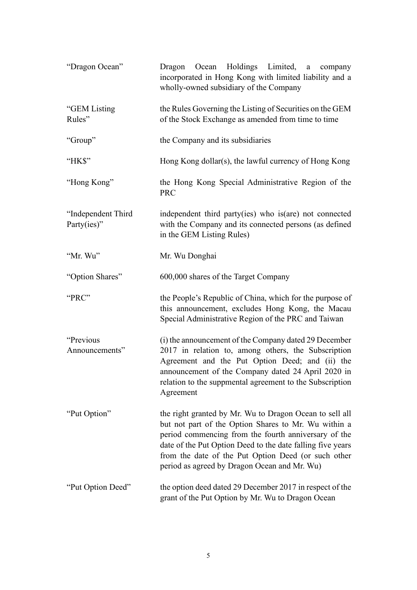| "Dragon Ocean"                    | Dragon Ocean Holdings Limited,<br>a company<br>incorporated in Hong Kong with limited liability and a<br>wholly-owned subsidiary of the Company                                                                                                                                                                                              |
|-----------------------------------|----------------------------------------------------------------------------------------------------------------------------------------------------------------------------------------------------------------------------------------------------------------------------------------------------------------------------------------------|
| "GEM Listing<br>Rules"            | the Rules Governing the Listing of Securities on the GEM<br>of the Stock Exchange as amended from time to time                                                                                                                                                                                                                               |
| "Group"                           | the Company and its subsidiaries                                                                                                                                                                                                                                                                                                             |
| "HK\$"                            | Hong Kong dollar(s), the lawful currency of Hong Kong                                                                                                                                                                                                                                                                                        |
| "Hong Kong"                       | the Hong Kong Special Administrative Region of the<br><b>PRC</b>                                                                                                                                                                                                                                                                             |
| "Independent Third<br>Party(ies)" | independent third party(ies) who is(are) not connected<br>with the Company and its connected persons (as defined<br>in the GEM Listing Rules)                                                                                                                                                                                                |
| "Mr. Wu"                          | Mr. Wu Donghai                                                                                                                                                                                                                                                                                                                               |
| "Option Shares"                   | 600,000 shares of the Target Company                                                                                                                                                                                                                                                                                                         |
| "PRC"                             | the People's Republic of China, which for the purpose of<br>this announcement, excludes Hong Kong, the Macau<br>Special Administrative Region of the PRC and Taiwan                                                                                                                                                                          |
| "Previous<br>Announcements"       | (i) the announcement of the Company dated 29 December<br>2017 in relation to, among others, the Subscription<br>Agreement and the Put Option Deed; and (ii) the<br>announcement of the Company dated 24 April 2020 in<br>relation to the suppmental agreement to the Subscription<br>Agreement                                               |
| "Put Option"                      | the right granted by Mr. Wu to Dragon Ocean to sell all<br>but not part of the Option Shares to Mr. Wu within a<br>period commencing from the fourth anniversary of the<br>date of the Put Option Deed to the date falling five years<br>from the date of the Put Option Deed (or such other<br>period as agreed by Dragon Ocean and Mr. Wu) |
| "Put Option Deed"                 | the option deed dated 29 December 2017 in respect of the<br>grant of the Put Option by Mr. Wu to Dragon Ocean                                                                                                                                                                                                                                |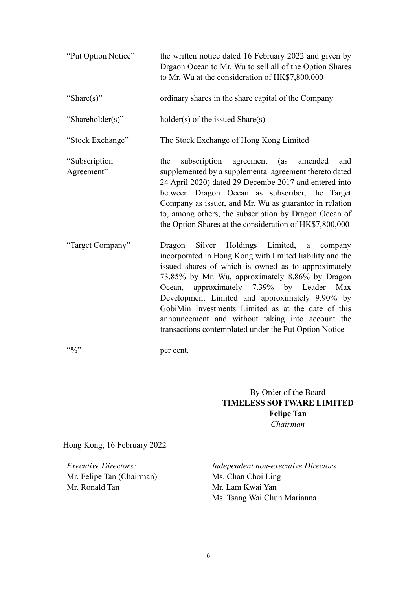| "Put Option Notice"         | the written notice dated 16 February 2022 and given by<br>Drgaon Ocean to Mr. Wu to sell all of the Option Shares<br>to Mr. Wu at the consideration of HK\$7,800,000                                                                                                                                                                                                                                                                                                                         |
|-----------------------------|----------------------------------------------------------------------------------------------------------------------------------------------------------------------------------------------------------------------------------------------------------------------------------------------------------------------------------------------------------------------------------------------------------------------------------------------------------------------------------------------|
| "Share(s)"                  | ordinary shares in the share capital of the Company                                                                                                                                                                                                                                                                                                                                                                                                                                          |
| "Shareholder(s)"            | $holder(s)$ of the issued Share $(s)$                                                                                                                                                                                                                                                                                                                                                                                                                                                        |
| "Stock Exchange"            | The Stock Exchange of Hong Kong Limited                                                                                                                                                                                                                                                                                                                                                                                                                                                      |
| "Subscription<br>Agreement" | subscription agreement<br>(as)<br>the<br>amended<br>and<br>supplemented by a supplemental agreement thereto dated<br>24 April 2020) dated 29 Decembe 2017 and entered into<br>between Dragon Ocean as subscriber, the Target<br>Company as issuer, and Mr. Wu as guarantor in relation<br>to, among others, the subscription by Dragon Ocean of<br>the Option Shares at the consideration of HK\$7,800,000                                                                                   |
| "Target Company"            | Silver Holdings Limited,<br>Dragon<br>a<br>company<br>incorporated in Hong Kong with limited liability and the<br>issued shares of which is owned as to approximately<br>73.85% by Mr. Wu, approximately 8.86% by Dragon<br>Ocean, approximately 7.39% by Leader<br>Max<br>Development Limited and approximately 9.90% by<br>GobiMin Investments Limited as at the date of this<br>announcement and without taking into account the<br>transactions contemplated under the Put Option Notice |

"%" per cent.

By Order of the Board **TIMELESS SOFTWARE LIMITED Felipe Tan** *Chairman*

Hong Kong, 16 February 2022

Mr. Felipe Tan (Chairman) Mr. Ronald Tan

*Executive Directors: Independent non-executive Directors:*  Ms. Chan Choi Ling Mr. Lam Kwai Yan Ms. Tsang Wai Chun Marianna